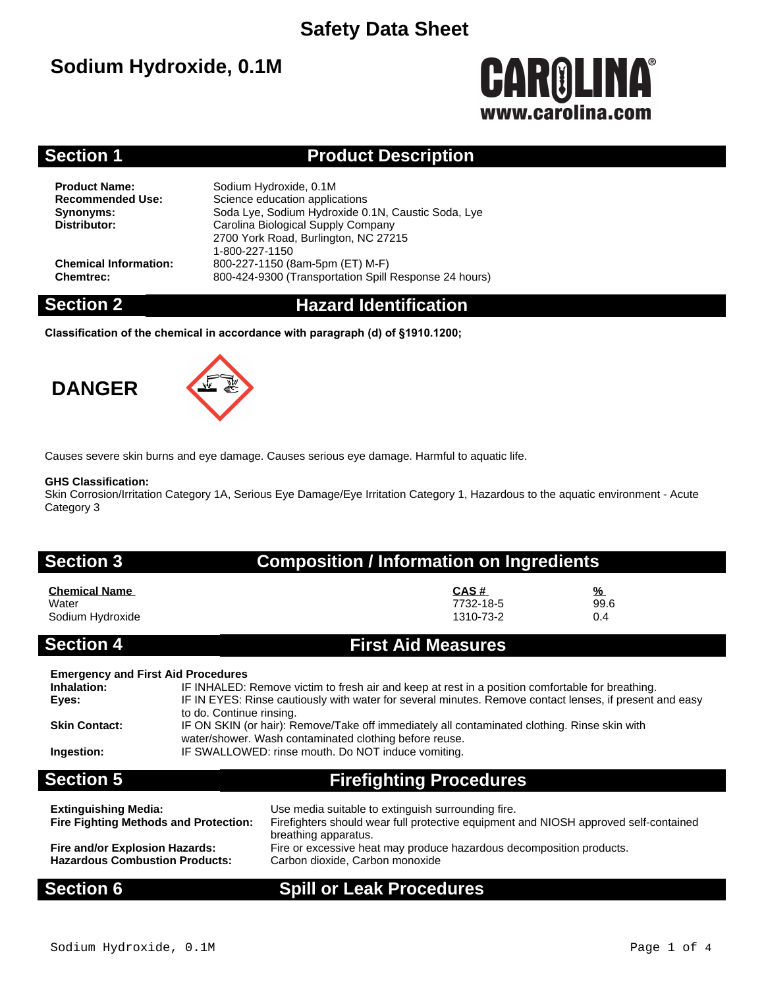# **Sodium Hydroxide, 0.1M**

# **CAROLINA®** www.carolina.com

### **Section 1 Product Description**

**Product Name:** Sodium Hydroxide, 0.1M<br> **Recommended Use:** Science education applic **Science education applications Synonyms:** Soda Lye, Sodium Hydroxide 0.1N, Caustic Soda, Lye<br>
Distributor: Carolina Biological Supply Company **Distributor:** Carolina Biological Supply Company 2700 York Road, Burlington, NC 27215 1-800-227-1150 **Chemical Information:** 800-227-1150 (8am-5pm (ET) M-F) **Chemtrec:** 800-424-9300 (Transportation Spill Response 24 hours)

### **Section 2 Hazard Identification**

**Classification of the chemical in accordance with paragraph (d) of §1910.1200;**

# **DANGER**



Causes severe skin burns and eye damage. Causes serious eye damage. Harmful to aquatic life.

#### **GHS Classification:**

Skin Corrosion/Irritation Category 1A, Serious Eye Damage/Eye Irritation Category 1, Hazardous to the aquatic environment - Acute Category 3

### **Section 3 Composition / Information on Ingredients**

| <b>Chemical Name</b> | CAS#      | $\frac{9}{6}$ |
|----------------------|-----------|---------------|
| Water                | 7732-18-5 | 99.6          |
| Sodium Hydroxide     | 1310-73-2 | 0.4           |

### **Section 4 First Aid Measures**

| <b>Emergency and First Aid Procedures</b> |                                                                                                                                                        |
|-------------------------------------------|--------------------------------------------------------------------------------------------------------------------------------------------------------|
| Inhalation:                               | IF INHALED: Remove victim to fresh air and keep at rest in a position comfortable for breathing.                                                       |
| Eyes:                                     | IF IN EYES: Rinse cautiously with water for several minutes. Remove contact lenses, if present and easy<br>to do. Continue rinsing.                    |
| <b>Skin Contact:</b>                      | IF ON SKIN (or hair): Remove/Take off immediately all contaminated clothing. Rinse skin with<br>water/shower. Wash contaminated clothing before reuse. |
| Ingestion:                                | IF SWALLOWED: rinse mouth. Do NOT induce vomiting.                                                                                                     |
| <b>Section 5</b>                          | <b>Firefighting Procedures</b>                                                                                                                         |
|                                           |                                                                                                                                                        |

| <b>Extinguishing Media:</b><br><b>Fire Fighting Methods and Protection:</b> | Use media suitable to extinguish surrounding fire.<br>Firefighters should wear full protective equipment and NIOSH approved self-contained<br>breathing apparatus. |
|-----------------------------------------------------------------------------|--------------------------------------------------------------------------------------------------------------------------------------------------------------------|
| Fire and/or Explosion Hazards:                                              | Fire or excessive heat may produce hazardous decomposition products.                                                                                               |
| <b>Hazardous Combustion Products:</b>                                       | Carbon dioxide, Carbon monoxide                                                                                                                                    |

### **Section 6 Spill or Leak Procedures**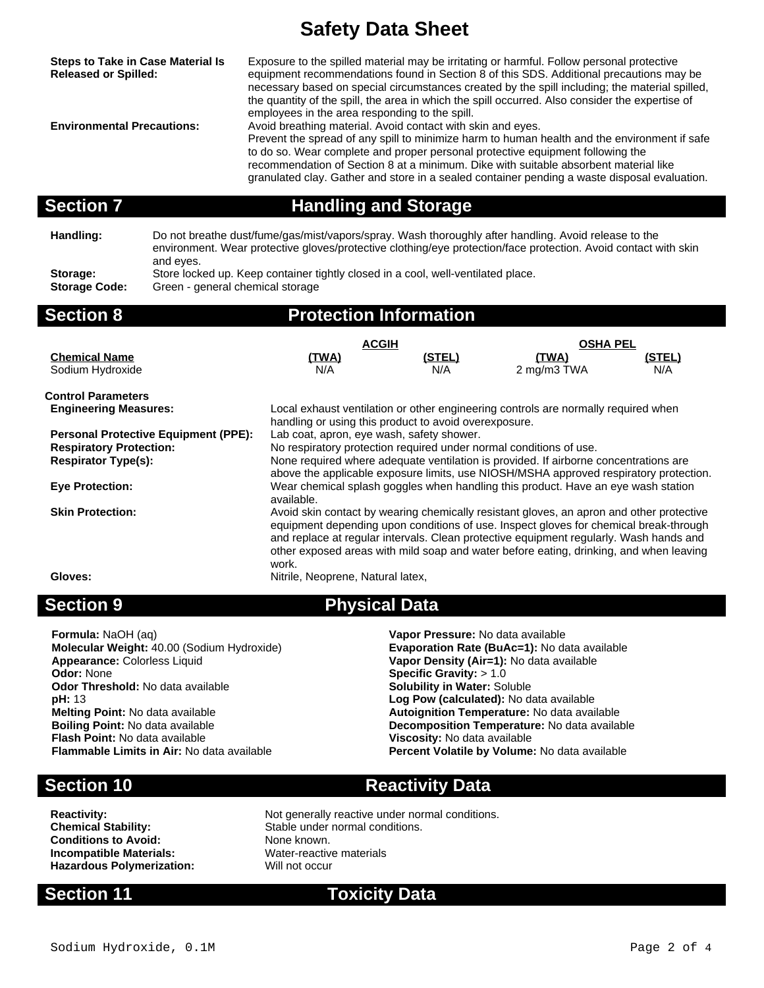| <b>Steps to Take in Case Material Is</b><br><b>Released or Spilled:</b><br><b>Environmental Precautions:</b> |                                                                                                                      | Exposure to the spilled material may be irritating or harmful. Follow personal protective<br>equipment recommendations found in Section 8 of this SDS. Additional precautions may be<br>necessary based on special circumstances created by the spill including; the material spilled,<br>the quantity of the spill, the area in which the spill occurred. Also consider the expertise of<br>employees in the area responding to the spill.<br>Avoid breathing material. Avoid contact with skin and eyes.<br>Prevent the spread of any spill to minimize harm to human health and the environment if safe<br>to do so. Wear complete and proper personal protective equipment following the<br>recommendation of Section 8 at a minimum. Dike with suitable absorbent material like<br>granulated clay. Gather and store in a sealed container pending a waste disposal evaluation. |               |                                                                                                                                                                                                                         |               |  |
|--------------------------------------------------------------------------------------------------------------|----------------------------------------------------------------------------------------------------------------------|--------------------------------------------------------------------------------------------------------------------------------------------------------------------------------------------------------------------------------------------------------------------------------------------------------------------------------------------------------------------------------------------------------------------------------------------------------------------------------------------------------------------------------------------------------------------------------------------------------------------------------------------------------------------------------------------------------------------------------------------------------------------------------------------------------------------------------------------------------------------------------------|---------------|-------------------------------------------------------------------------------------------------------------------------------------------------------------------------------------------------------------------------|---------------|--|
| <b>Section 7</b>                                                                                             |                                                                                                                      | <b>Handling and Storage</b>                                                                                                                                                                                                                                                                                                                                                                                                                                                                                                                                                                                                                                                                                                                                                                                                                                                          |               |                                                                                                                                                                                                                         |               |  |
| Handling:                                                                                                    | and eyes.                                                                                                            |                                                                                                                                                                                                                                                                                                                                                                                                                                                                                                                                                                                                                                                                                                                                                                                                                                                                                      |               | Do not breathe dust/fume/gas/mist/vapors/spray. Wash thoroughly after handling. Avoid release to the<br>environment. Wear protective gloves/protective clothing/eye protection/face protection. Avoid contact with skin |               |  |
| Storage:<br><b>Storage Code:</b>                                                                             | Store locked up. Keep container tightly closed in a cool, well-ventilated place.<br>Green - general chemical storage |                                                                                                                                                                                                                                                                                                                                                                                                                                                                                                                                                                                                                                                                                                                                                                                                                                                                                      |               |                                                                                                                                                                                                                         |               |  |
| <b>Section 8</b>                                                                                             |                                                                                                                      | <b>Protection Information</b>                                                                                                                                                                                                                                                                                                                                                                                                                                                                                                                                                                                                                                                                                                                                                                                                                                                        |               |                                                                                                                                                                                                                         |               |  |
|                                                                                                              |                                                                                                                      | <b>ACGIH</b>                                                                                                                                                                                                                                                                                                                                                                                                                                                                                                                                                                                                                                                                                                                                                                                                                                                                         |               | <b>OSHA PEL</b>                                                                                                                                                                                                         |               |  |
| <b>Chemical Name</b><br>Sodium Hydroxide                                                                     |                                                                                                                      | (TWA)<br>N/A                                                                                                                                                                                                                                                                                                                                                                                                                                                                                                                                                                                                                                                                                                                                                                                                                                                                         | (STEL)<br>N/A | <u>(TWA)</u><br>2 mg/m3 TWA                                                                                                                                                                                             | (STEL)<br>N/A |  |
| <b>Control Parameters</b>                                                                                    |                                                                                                                      |                                                                                                                                                                                                                                                                                                                                                                                                                                                                                                                                                                                                                                                                                                                                                                                                                                                                                      |               |                                                                                                                                                                                                                         |               |  |
| <b>Engineering Measures:</b>                                                                                 |                                                                                                                      |                                                                                                                                                                                                                                                                                                                                                                                                                                                                                                                                                                                                                                                                                                                                                                                                                                                                                      |               | Local exhaust ventilation or other engineering controls are normally required when                                                                                                                                      |               |  |
| <b>Respiratory Protection:</b><br><b>Respirator Type(s):</b>                                                 | <b>Personal Protective Equipment (PPE):</b>                                                                          | handling or using this product to avoid overexposure.<br>Lab coat, apron, eye wash, safety shower.<br>No respiratory protection required under normal conditions of use.<br>None required where adequate ventilation is provided. If airborne concentrations are<br>above the applicable exposure limits, use NIOSH/MSHA approved respiratory protection.                                                                                                                                                                                                                                                                                                                                                                                                                                                                                                                            |               |                                                                                                                                                                                                                         |               |  |
| <b>Eye Protection:</b>                                                                                       |                                                                                                                      | Wear chemical splash goggles when handling this product. Have an eye wash station                                                                                                                                                                                                                                                                                                                                                                                                                                                                                                                                                                                                                                                                                                                                                                                                    |               |                                                                                                                                                                                                                         |               |  |
| <b>Skin Protection:</b>                                                                                      |                                                                                                                      | available.<br>Avoid skin contact by wearing chemically resistant gloves, an apron and other protective<br>equipment depending upon conditions of use. Inspect gloves for chemical break-through<br>and replace at regular intervals. Clean protective equipment regularly. Wash hands and                                                                                                                                                                                                                                                                                                                                                                                                                                                                                                                                                                                            |               |                                                                                                                                                                                                                         |               |  |

Gloves: **Nitrile, Neoprene, Natural latex, Natural latex, Natural latex, Natural latex, Natural latex, Natural latex, Natural latex, Natural latex, Natural latex, Natural latex, Natural latex,**  $\overline{a}$ 

#### **Section 9 Physical Data**

work.

**Formula:** NaOH (aq) **Vapor Pressure:** No data available **Appearance:** Colorless Liquid **Vapor Density (Air=1):** No data available **Odor:** None **Color Odor Threshold:** No data available **pH:** 13 **Melting Point:** No data available **Autoignition Temperature:** No data available **Boiling Point:** No data available<br>**Boiling Point:** No data available **Autoignees Composition Temperature:** No data availal

**Molecular Weight:** 40.00 (Sodium Hydroxide) **Evaporation Rate (BuAc=1):** No data available **Specific Gravity: > 1.0<br><b>Solubility in Water:** Soluble Log Pow (calculated): No data available **Boiling Point:** No data available **Decomposition Temperature:** No data available **Flash Point:** No data available **Flash Point:** No data available **Flash Point:** No data available **Viscosity:** No data available **Flammable Limits in Air:** No data available **Percent Volatile by Volume:** No data available

other exposed areas with mild soap and water before eating, drinking, and when leaving

### **Section 10 Reactivity Data**

**Reactivity:** Not generally reactive under normal conditions.<br> **Chemical Stability:** Stable under normal conditions. **Conditions to Avoid:** None known. **Incompatible Materials:** Water-reactive materials **Hazardous Polymerization:** Will not occur

## **Section 11 Toxicity Data**

Stable under normal conditions.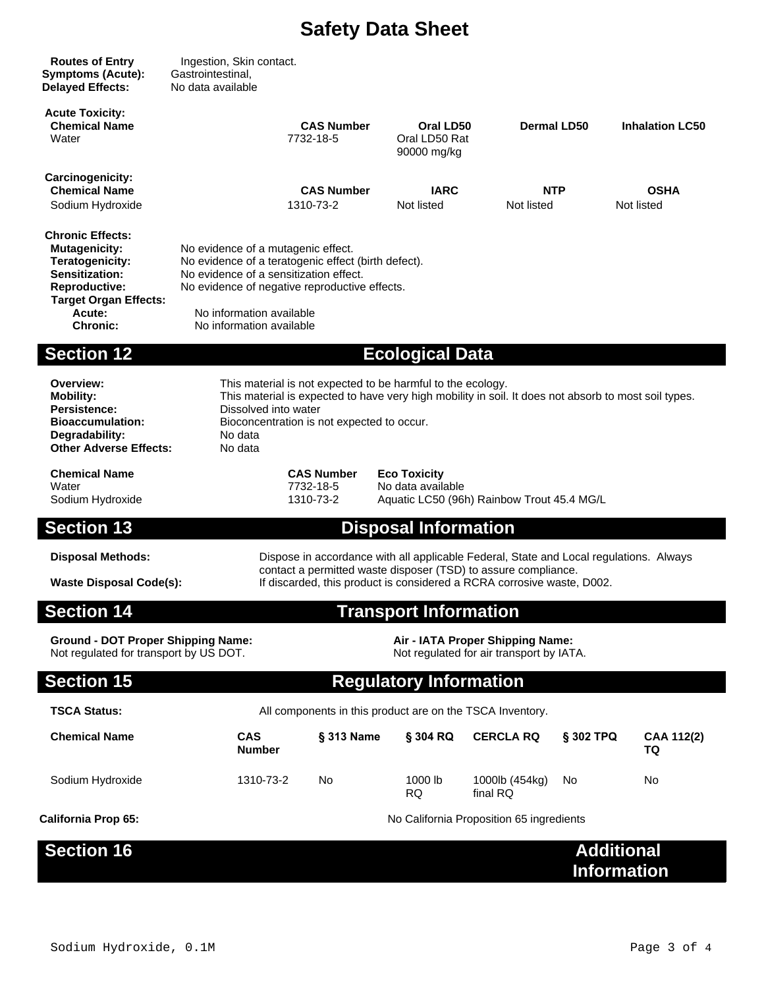| <b>Routes of Entry</b><br><b>Symptoms (Acute):</b><br><b>Delayed Effects:</b>                                                                                                    | Ingestion, Skin contact.<br>Gastrointestinal,<br>No data available                                                                                                                                                                                              |                             |                                |                                           |                                          |                                         |                           |
|----------------------------------------------------------------------------------------------------------------------------------------------------------------------------------|-----------------------------------------------------------------------------------------------------------------------------------------------------------------------------------------------------------------------------------------------------------------|-----------------------------|--------------------------------|-------------------------------------------|------------------------------------------|-----------------------------------------|---------------------------|
| <b>Acute Toxicity:</b><br><b>Chemical Name</b><br>Water                                                                                                                          |                                                                                                                                                                                                                                                                 |                             | <b>CAS Number</b><br>7732-18-5 | Oral LD50<br>Oral LD50 Rat<br>90000 mg/kg | Dermal LD50                              |                                         | <b>Inhalation LC50</b>    |
| <b>Carcinogenicity:</b><br><b>Chemical Name</b><br>Sodium Hydroxide                                                                                                              |                                                                                                                                                                                                                                                                 |                             | <b>CAS Number</b><br>1310-73-2 | <b>IARC</b><br>Not listed                 | <b>NTP</b><br>Not listed                 |                                         | <b>OSHA</b><br>Not listed |
| <b>Chronic Effects:</b><br><b>Mutagenicity:</b><br><b>Teratogenicity:</b><br><b>Sensitization:</b><br><b>Reproductive:</b><br><b>Target Organ Effects:</b><br>Acute:<br>Chronic: | No evidence of a mutagenic effect.<br>No evidence of a teratogenic effect (birth defect).<br>No evidence of a sensitization effect.<br>No evidence of negative reproductive effects.<br>No information available<br>No information available                    |                             |                                |                                           |                                          |                                         |                           |
| <b>Section 12</b>                                                                                                                                                                |                                                                                                                                                                                                                                                                 |                             |                                | <b>Ecological Data</b>                    |                                          |                                         |                           |
| Overview:<br><b>Mobility:</b><br>Persistence:<br><b>Bioaccumulation:</b><br>Degradability:<br><b>Other Adverse Effects:</b>                                                      | This material is not expected to be harmful to the ecology.<br>This material is expected to have very high mobility in soil. It does not absorb to most soil types.<br>Dissolved into water<br>Bioconcentration is not expected to occur.<br>No data<br>No data |                             |                                |                                           |                                          |                                         |                           |
| <b>Chemical Name</b><br>Water<br>Sodium Hydroxide                                                                                                                                | <b>CAS Number</b><br><b>Eco Toxicity</b><br>7732-18-5<br>No data available<br>1310-73-2<br>Aquatic LC50 (96h) Rainbow Trout 45.4 MG/L                                                                                                                           |                             |                                |                                           |                                          |                                         |                           |
| <b>Section 13</b>                                                                                                                                                                |                                                                                                                                                                                                                                                                 |                             |                                | <b>Disposal Information</b>               |                                          |                                         |                           |
| <b>Disposal Methods:</b><br><b>Waste Disposal Code(s):</b>                                                                                                                       | Dispose in accordance with all applicable Federal, State and Local regulations. Always<br>contact a permitted waste disposer (TSD) to assure compliance.<br>If discarded, this product is considered a RCRA corrosive waste, D002.                              |                             |                                |                                           |                                          |                                         |                           |
| <b>Section 14</b><br><b>Transport Information</b>                                                                                                                                |                                                                                                                                                                                                                                                                 |                             |                                |                                           |                                          |                                         |                           |
| <b>Ground - DOT Proper Shipping Name:</b><br>Air - IATA Proper Shipping Name:<br>Not regulated for transport by US DOT.<br>Not regulated for air transport by IATA.              |                                                                                                                                                                                                                                                                 |                             |                                |                                           |                                          |                                         |                           |
| <b>Section 15</b>                                                                                                                                                                | <b>Regulatory Information</b>                                                                                                                                                                                                                                   |                             |                                |                                           |                                          |                                         |                           |
| <b>TSCA Status:</b>                                                                                                                                                              | All components in this product are on the TSCA Inventory.                                                                                                                                                                                                       |                             |                                |                                           |                                          |                                         |                           |
| <b>Chemical Name</b>                                                                                                                                                             |                                                                                                                                                                                                                                                                 | <b>CAS</b><br><b>Number</b> | § 313 Name                     | § 304 RQ                                  | <b>CERCLA RQ</b>                         | § 302 TPQ                               | CAA 112(2)<br>TQ          |
| Sodium Hydroxide                                                                                                                                                                 |                                                                                                                                                                                                                                                                 | 1310-73-2                   | No.                            | 1000 lb<br><b>RQ</b>                      | 1000lb (454kg)<br>final RQ               | No                                      | No                        |
| <b>California Prop 65:</b>                                                                                                                                                       |                                                                                                                                                                                                                                                                 |                             |                                |                                           | No California Proposition 65 ingredients |                                         |                           |
| <b>Section 16</b>                                                                                                                                                                |                                                                                                                                                                                                                                                                 |                             |                                |                                           |                                          | <b>Additional</b><br><b>Information</b> |                           |